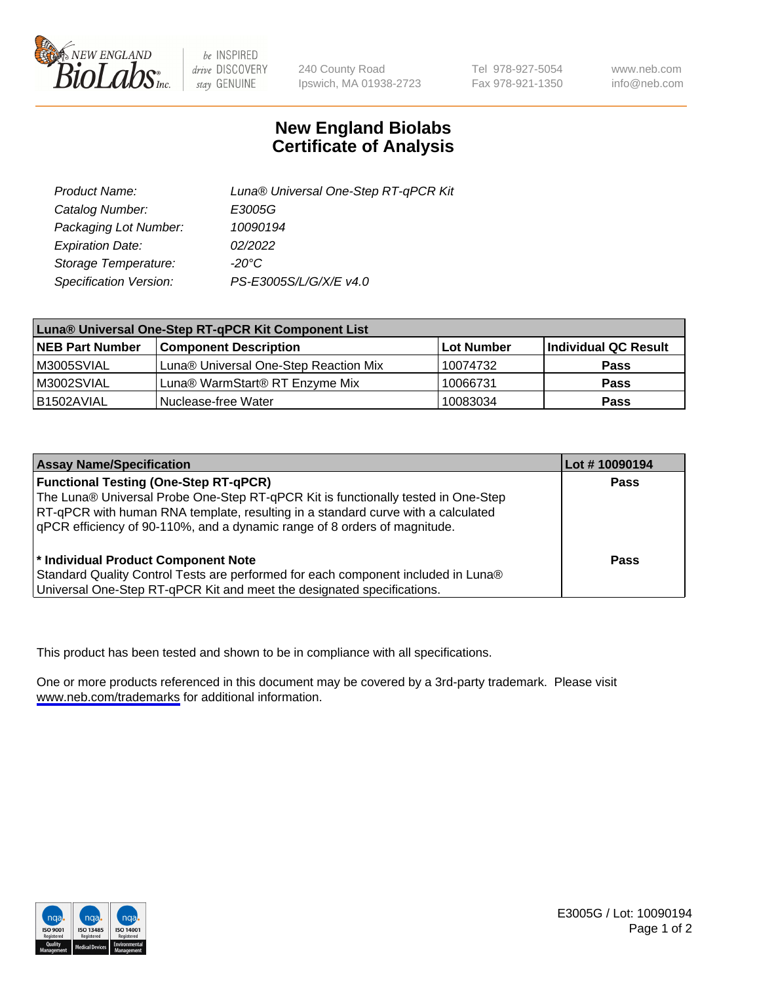

be INSPIRED drive DISCOVERY stay GENUINE

240 County Road Ipswich, MA 01938-2723

Tel 978-927-5054 Fax 978-921-1350

www.neb.com info@neb.com

## **New England Biolabs Certificate of Analysis**

| Product Name:           | Luna® Universal One-Step RT-qPCR Kit |  |
|-------------------------|--------------------------------------|--|
| Catalog Number:         | E3005G                               |  |
| Packaging Lot Number:   | 10090194                             |  |
| <b>Expiration Date:</b> | 02/2022                              |  |
| Storage Temperature:    | $-20^{\circ}$ C                      |  |
| Specification Version:  | PS-E3005S/L/G/X/E v4.0               |  |

| Luna® Universal One-Step RT-qPCR Kit Component List |                                       |            |                      |  |
|-----------------------------------------------------|---------------------------------------|------------|----------------------|--|
| <b>NEB Part Number</b>                              | <b>Component Description</b>          | Lot Number | Individual QC Result |  |
| M3005SVIAL                                          | Luna® Universal One-Step Reaction Mix | 10074732   | Pass                 |  |
| M3002SVIAL                                          | Luna® WarmStart® RT Enzyme Mix        | 10066731   | <b>Pass</b>          |  |
| B1502AVIAL                                          | Nuclease-free Water                   | 10083034   | <b>Pass</b>          |  |

| <b>Assay Name/Specification</b>                                                   | Lot # 10090194 |
|-----------------------------------------------------------------------------------|----------------|
| <b>Functional Testing (One-Step RT-qPCR)</b>                                      | <b>Pass</b>    |
| The Luna® Universal Probe One-Step RT-qPCR Kit is functionally tested in One-Step |                |
| RT-qPCR with human RNA template, resulting in a standard curve with a calculated  |                |
| qPCR efficiency of 90-110%, and a dynamic range of 8 orders of magnitude.         |                |
| <sup>*</sup> Individual Product Component Note                                    | Pass           |
| Standard Quality Control Tests are performed for each component included in Luna® |                |
| Universal One-Step RT-qPCR Kit and meet the designated specifications.            |                |

This product has been tested and shown to be in compliance with all specifications.

One or more products referenced in this document may be covered by a 3rd-party trademark. Please visit <www.neb.com/trademarks>for additional information.